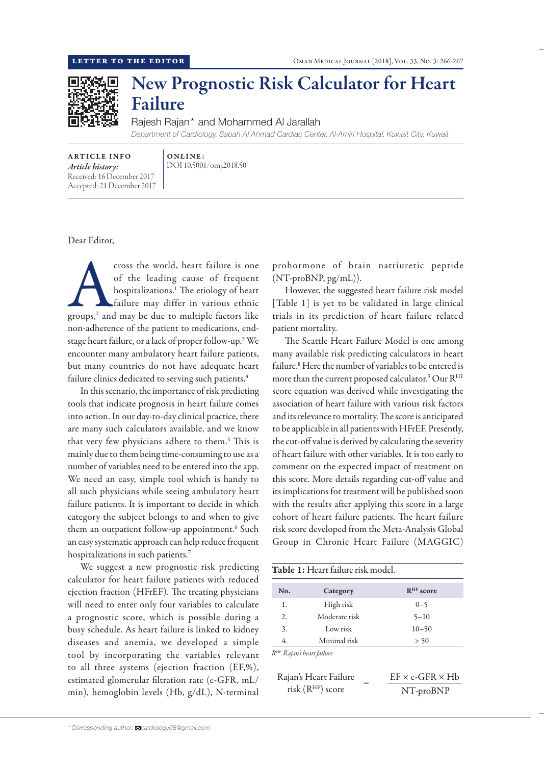

## New Prognostic Risk Calculator for Heart Failure

Rajesh Rajan\* and Mohammed Al Jarallah *Department of Cardiology, Sabah Al Ahmad Cardiac Center, Al-Amiri Hospital, Kuwait City, Kuwait*

ARTICLE INFO *Article history:* Received: 16 December 2017 Accepted: 21 December 2017 ONLINE: DOI 10.5001/omj.2018.50

Dear Editor,

cross the world, heart failure is one<br>of the leading cause of frequent<br>hospitalizations.<sup>1</sup> The etiology of heart<br>failure may differ in various ethnic<br>groups,<sup>2</sup> and may be due to multiple factors like of the leading cause of frequent hospitalizations.1 The etiology of heart failure may differ in various ethnic non-adherence of the patient to medications, endstage heart failure, or a lack of proper follow-up.3 We encounter many ambulatory heart failure patients, but many countries do not have adequate heart failure clinics dedicated to serving such patients.<sup>4</sup>

In this scenario, the importance of risk predicting tools that indicate prognosis in heart failure comes into action. In our day-to-day clinical practice, there are many such calculators available, and we know that very few physicians adhere to them.<sup>5</sup> This is mainly due to them being time-consuming to use as a number of variables need to be entered into the app. We need an easy, simple tool which is handy to all such physicians while seeing ambulatory heart failure patients. It is important to decide in which category the subject belongs to and when to give them an outpatient follow-up appointment.<sup>6</sup> Such an easy systematic approach can help reduce frequent hospitalizations in such patients.7

We suggest a new prognostic risk predicting calculator for heart failure patients with reduced ejection fraction (HFrEF). The treating physicians will need to enter only four variables to calculate a prognostic score, which is possible during a busy schedule. As heart failure is linked to kidney diseases and anemia, we developed a simple tool by incorporating the variables relevant to all three systems (ejection fraction (EF,%), estimated glomerular filtration rate (e-GFR, mL/ min), hemoglobin levels (Hb, g/dL), N-terminal

prohormone of brain natriuretic peptide (NT-proBNP, pg/mL)).

However, the suggested heart failure risk model [Table 1] is yet to be validated in large clinical trials in its prediction of heart failure related patient mortality.

The Seattle Heart Failure Model is one among many available risk predicting calculators in heart failure.<sup>8</sup> Here the number of variables to be entered is more than the current proposed calculator.<sup>9</sup> Our R<sup>HF</sup> score equation was derived while investigating the association of heart failure with various risk factors and its relevance to mortality. The score is anticipated to be applicable in all patients with HFrEF. Presently, the cut-off value is derived by calculating the severity of heart failure with other variables. It is too early to comment on the expected impact of treatment on this score. More details regarding cut-off value and its implications for treatment will be published soon with the results after applying this score in a large cohort of heart failure patients. The heart failure risk score developed from the Meta-Analysis Global Group in Chronic Heart Failure (MAGGIC)

| No. | Category      | $RHF$ score |
|-----|---------------|-------------|
| 1.  | High risk     | $0 - 5$     |
| 2.  | Moderate risk | $5 - 10$    |
| 3.  | Low risk      | $10 - 50$   |
| 4.  | Minimal risk  | > 50        |

| Rajan's Heart Failure |  | $EF \times e\text{-}GFR \times Hb$ |
|-----------------------|--|------------------------------------|
| risk $(RHF)$ score    |  | NT-proBNP                          |